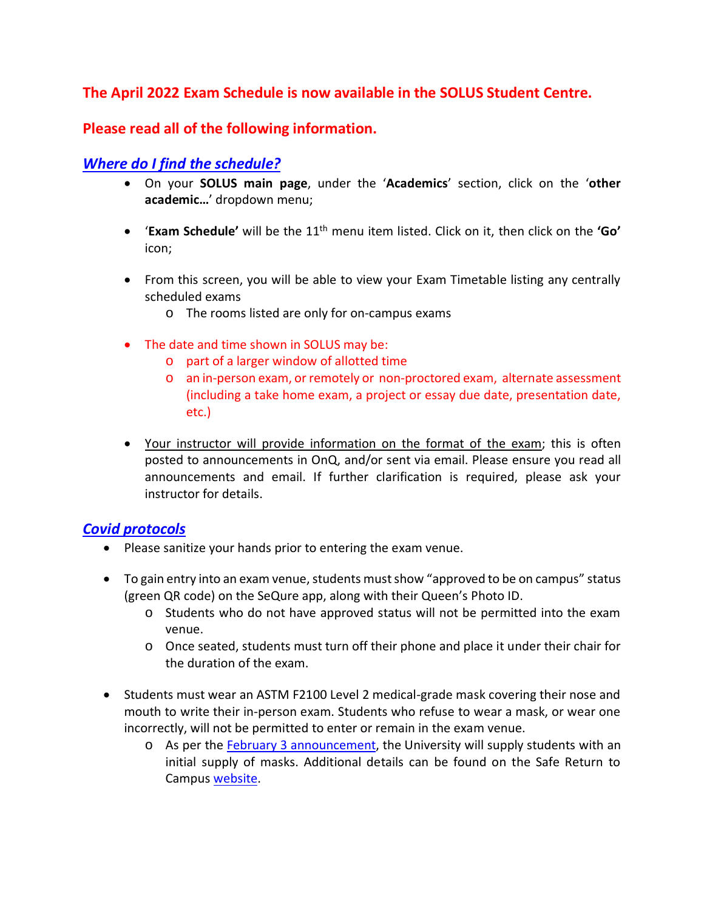### **The April 2022 Exam Schedule is now available in the SOLUS Student Centre.**

#### **Please read all of the following information.**

### *Where do I find the schedule?*

- On your **SOLUS main page**, under the '**Academics**' section, click on the '**other academic…**' dropdown menu;
- '**Exam Schedule'** will be the 11th menu item listed. Click on it, then click on the **'Go'** icon;
- From this screen, you will be able to view your Exam Timetable listing any centrally scheduled exams
	- o The rooms listed are only for on-campus exams
- The date and time shown in SOLUS may be:
	- o part of a larger window of allotted time
	- o an in-person exam, or remotely or non-proctored exam, alternate assessment (including a take home exam, a project or essay due date, presentation date, etc.)
- Your instructor will provide information on the format of the exam; this is often posted to announcements in OnQ, and/or sent via email. Please ensure you read all announcements and email. If further clarification is required, please ask your instructor for details.

#### *Covid protocols*

- Please sanitize your hands prior to entering the exam venue.
- To gain entry into an exam venue, students must show "approved to be on campus" status (green QR code) on the SeQure app, along with their Queen's Photo ID.
	- o Students who do not have approved status will not be permitted into the exam venue.
	- o Once seated, students must turn off their phone and place it under their chair for the duration of the exam.
- Students must wear an ASTM F2100 Level 2 medical-grade mask covering their nose and mouth to write their in-person exam. Students who refuse to wear a mask, or wear one incorrectly, will not be permitted to enter or remain in the exam venue.
	- o As per the [February 3 announcement,](https://www.queensu.ca/safereturn/update-return-person-instruction) the University will supply students with an initial supply of masks. Additional details can be found on the Safe Return to Campus [website.](https://www.queensu.ca/safereturn/)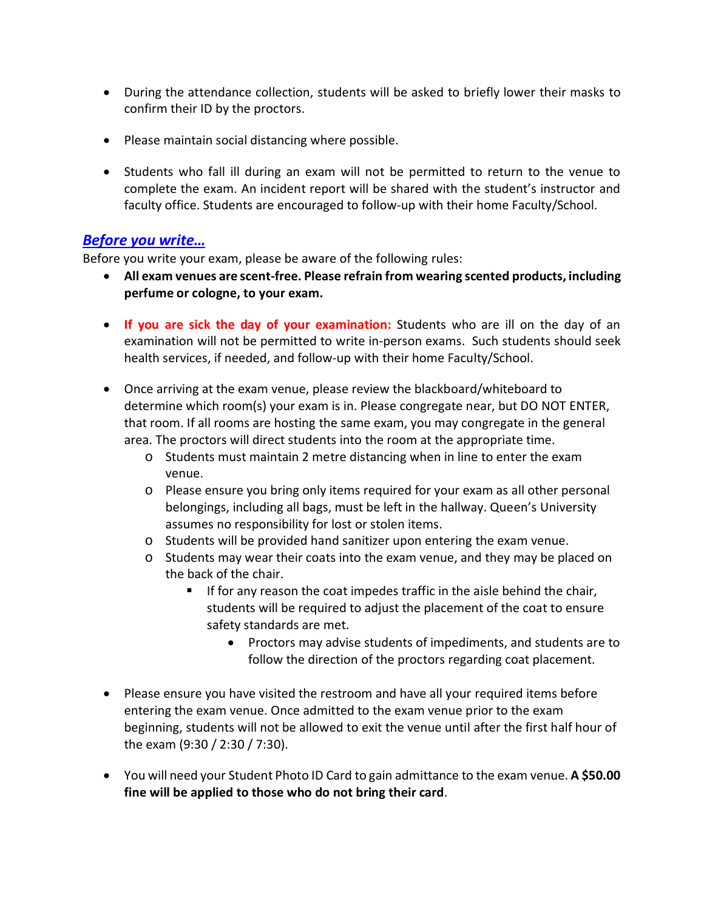- During the attendance collection, students will be asked to briefly lower their masks to confirm their ID by the proctors.
- Please maintain social distancing where possible.
- Students who fall ill during an exam will not be permitted to return to the venue to complete the exam. An incident report will be shared with the student's instructor and faculty office. Students are encouraged to follow-up with their home Faculty/School.

#### *Before you write…*

Before you write your exam, please be aware of the following rules:

- **All exam venues are scent-free. Please refrain from wearing scented products, including perfume or cologne, to your exam.**
- **If you are sick the day of your examination:** Students who are ill on the day of an examination will not be permitted to write in-person exams. Such students should seek health services, if needed, and follow-up with their home Faculty/School.
- Once arriving at the exam venue, please review the blackboard/whiteboard to determine which room(s) your exam is in. Please congregate near, but DO NOT ENTER, that room. If all rooms are hosting the same exam, you may congregate in the general area. The proctors will direct students into the room at the appropriate time.
	- o Students must maintain 2 metre distancing when in line to enter the exam venue.
	- o Please ensure you bring only items required for your exam as all other personal belongings, including all bags, must be left in the hallway. Queen's University assumes no responsibility for lost or stolen items.
	- o Students will be provided hand sanitizer upon entering the exam venue.
	- o Students may wear their coats into the exam venue, and they may be placed on the back of the chair.
		- If for any reason the coat impedes traffic in the aisle behind the chair, students will be required to adjust the placement of the coat to ensure safety standards are met.
			- Proctors may advise students of impediments, and students are to follow the direction of the proctors regarding coat placement.
- Please ensure you have visited the restroom and have all your required items before entering the exam venue. Once admitted to the exam venue prior to the exam beginning, students will not be allowed to exit the venue until after the first half hour of the exam (9:30 / 2:30 / 7:30).
- You will need your Student Photo ID Card to gain admittance to the exam venue. **A \$50.00 fine will be applied to those who do not bring their card**.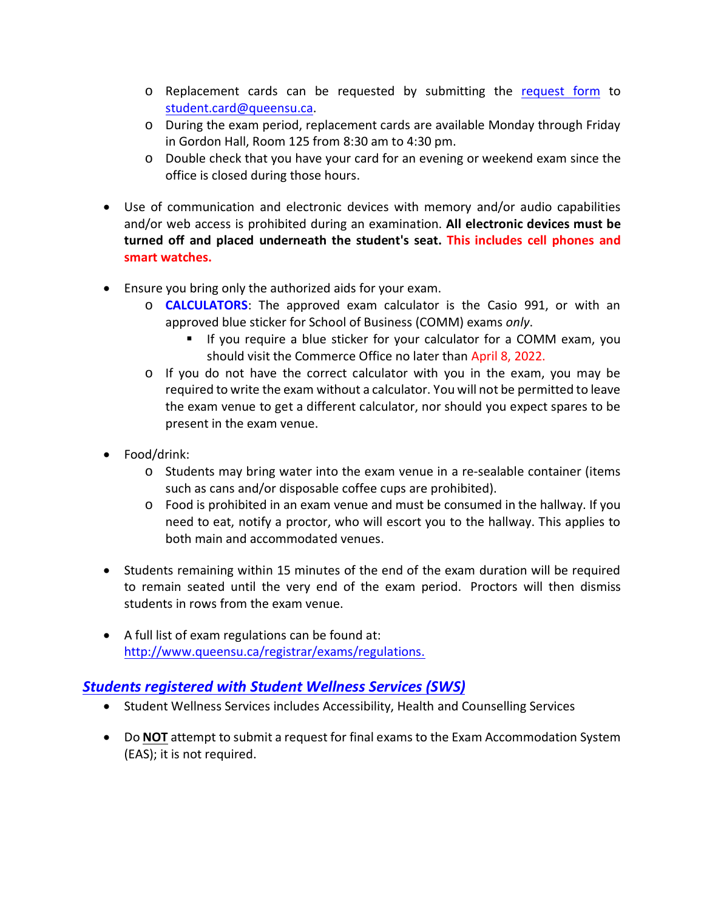- o Replacement cards can be requested by submitting the [request form](https://www.queensu.ca/registrar/sites/webpublish.queensu.ca.uregwww/files/files/Photo_ID_Form.pdf) to [student.card@queensu.ca.](mailto:student.card@queensu.ca)
- o During the exam period, replacement cards are available Monday through Friday in Gordon Hall, Room 125 from 8:30 am to 4:30 pm.
- o Double check that you have your card for an evening or weekend exam since the office is closed during those hours.
- Use of communication and electronic devices with memory and/or audio capabilities and/or web access is prohibited during an examination. **All electronic devices must be turned off and placed underneath the student's seat. This includes cell phones and smart watches.**
- Ensure you bring only the authorized aids for your exam.
	- o **CALCULATORS**: The approved exam calculator is the Casio 991, or with an approved blue sticker for School of Business (COMM) exams *only*.
		- If you require a blue sticker for your calculator for a COMM exam, you should visit the Commerce Office no later than April 8, 2022.
	- o If you do not have the correct calculator with you in the exam, you may be required to write the exam without a calculator. You will not be permitted to leave the exam venue to get a different calculator, nor should you expect spares to be present in the exam venue.
- Food/drink:
	- $\circ$  Students may bring water into the exam venue in a re-sealable container (items such as cans and/or disposable coffee cups are prohibited).
	- o Food is prohibited in an exam venue and must be consumed in the hallway. If you need to eat, notify a proctor, who will escort you to the hallway. This applies to both main and accommodated venues.
- Students remaining within 15 minutes of the end of the exam duration will be required to remain seated until the very end of the exam period. Proctors will then dismiss students in rows from the exam venue.
- A full list of exam regulations can be found at: [http://www.queensu.ca/registrar/exams/regulations.](http://www.queensu.ca/registrar/exams/regulations)

### *Students registered with Student Wellness Services (SWS)*

- Student Wellness Services includes Accessibility, Health and Counselling Services
- Do **NOT** attempt to submit a request for final exams to the Exam Accommodation System (EAS); it is not required.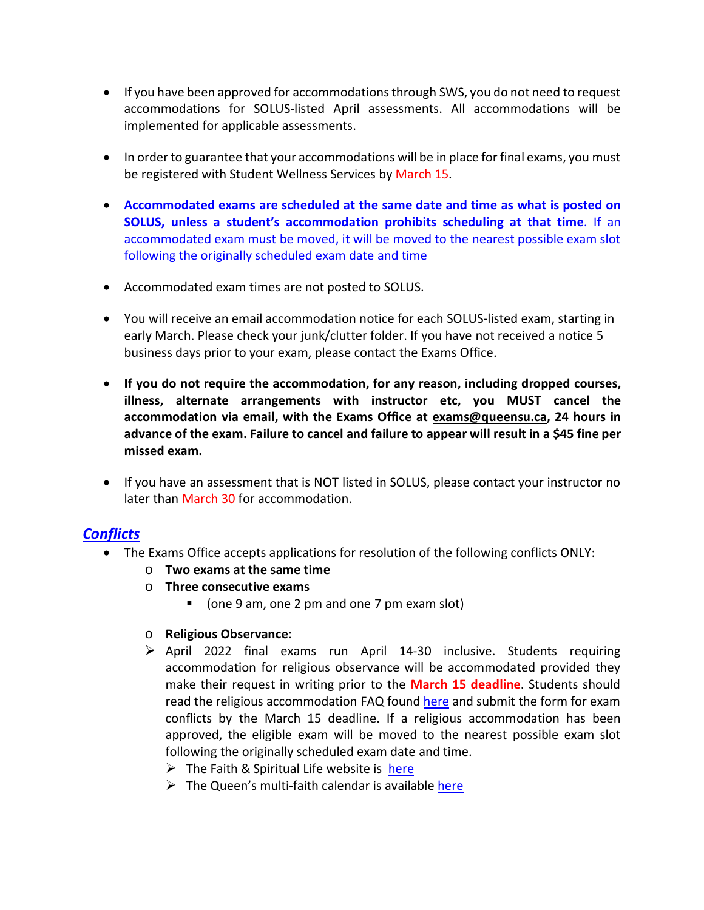- If you have been approved for accommodations through SWS, you do not need to request accommodations for SOLUS-listed April assessments. All accommodations will be implemented for applicable assessments.
- In order to guarantee that your accommodations will be in place for final exams, you must be registered with Student Wellness Services by March 15.
- **Accommodated exams are scheduled at the same date and time as what is posted on SOLUS, unless a student's accommodation prohibits scheduling at that time**. If an accommodated exam must be moved, it will be moved to the nearest possible exam slot following the originally scheduled exam date and time
- Accommodated exam times are not posted to SOLUS.
- You will receive an email accommodation notice for each SOLUS-listed exam, starting in early March. Please check your junk/clutter folder. If you have not received a notice 5 business days prior to your exam, please contact the Exams Office.
- **If you do not require the accommodation, for any reason, including dropped courses, illness, alternate arrangements with instructor etc, you MUST cancel the accommodation via email, with the Exams Office at [exams@queensu.ca,](mailto:exams@queensu.ca) 24 hours in advance of the exam. Failure to cancel and failure to appear will result in a \$45 fine per missed exam.**
- If you have an assessment that is NOT listed in SOLUS, please contact your instructor no later than March 30 for accommodation.

### *Conflicts*

- The Exams Office accepts applications for resolution of the following conflicts ONLY:
	- o **Two exams at the same time**
	- o **Three consecutive exams** 
		- (one 9 am, one 2 pm and one 7 pm exam slot)
	- o **Religious Observance**:
	- $\triangleright$  April 2022 final exams run April 14-30 inclusive. Students requiring accommodation for religious observance will be accommodated provided they make their request in writing prior to the **March 15 deadline**. Students should read the religious accommodation FAQ found [here](http://www.queensu.ca/registrar/exams/conflicts) and submit the form for exam conflicts by the March 15 deadline. If a religious accommodation has been approved, the eligible exam will be moved to the nearest possible exam slot following the originally scheduled exam date and time.
		- $\triangleright$  The Faith & Spiritual Life website is [here](https://www.queensu.ca/faith-and-spiritual-life/religious-accommodation/academics)
		- $\triangleright$  The Queen's multi-faith calendar is available [here](https://www.queensu.ca/faith-and-spiritual-life/religious-accommodations/multifaith-calendar)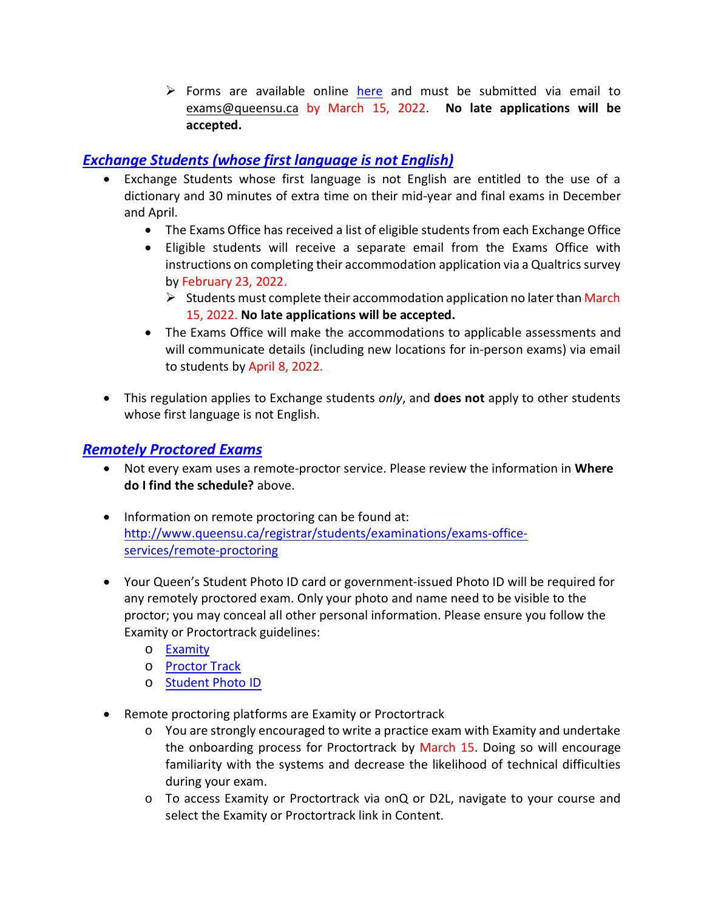$\triangleright$  Forms are available online [here](http://www.queensu.ca/registrar/exams/conflicts) and must be submitted via email to [exams@queensu.ca](mailto:exams@queensu.ca) by March 15, 2022. **No late applications will be accepted.**

# *Exchange Students (whose first language is not English)*

- Exchange Students whose first language is not English are entitled to the use of a dictionary and 30 minutes of extra time on their mid-year and final exams in December and April.
	- The Exams Office has received a list of eligible students from each Exchange Office
	- Eligible students will receive a separate email from the Exams Office with instructions on completing their accommodation application via a Qualtrics survey by February 23, 2022.
		- $\triangleright$  Students must complete their accommodation application no later than March 15, 2022. **No late applications will be accepted.**
	- The Exams Office will make the accommodations to applicable assessments and will communicate details (including new locations for in-person exams) via email to students by April 8, 2022.
- This regulation applies to Exchange students *only*, and **does not** apply to other students whose first language is not English.

# *Remotely Proctored Exams*

- Not every exam uses a remote-proctor service. Please review the information in **Where do I find the schedule?** above.
- Information on remote proctoring can be found at: [http://www.queensu.ca/registrar/students/examinations/exams-office](http://www.queensu.ca/registrar/students/examinations/exams-office-services/remote-proctoring)[services/remote-proctoring](http://www.queensu.ca/registrar/students/examinations/exams-office-services/remote-proctoring)
- Your Queen's Student Photo ID card or government-issued Photo ID will be required for any remotely proctored exam. Only your photo and name need to be visible to the proctor; you may conceal all other personal information. Please ensure you follow the Examity or Proctortrack guidelines:
	- o [Examity](http://www.queensu.ca/registrar/sites/webpublish.queensu.ca.uregwww/files/files/onQ_Examity_Student_Quick_Guide.pdf)
	- o [Proctor Track](http://www.queensu.ca/registrar/sites/webpublish.queensu.ca.uregwww/files/files/onQ%20Proctortrack%20Student%20Guide.pdf)
	- o [Student Photo ID](http://www.queensu.ca/registrar/studentid)
- Remote proctoring platforms are Examity or Proctortrack
	- $\circ$  You are strongly encouraged to write a practice exam with Examity and undertake the onboarding process for Proctortrack by March 15. Doing so will encourage familiarity with the systems and decrease the likelihood of technical difficulties during your exam.
	- o To access Examity or Proctortrack via onQ or D2L, navigate to your course and select the Examity or Proctortrack link in Content.